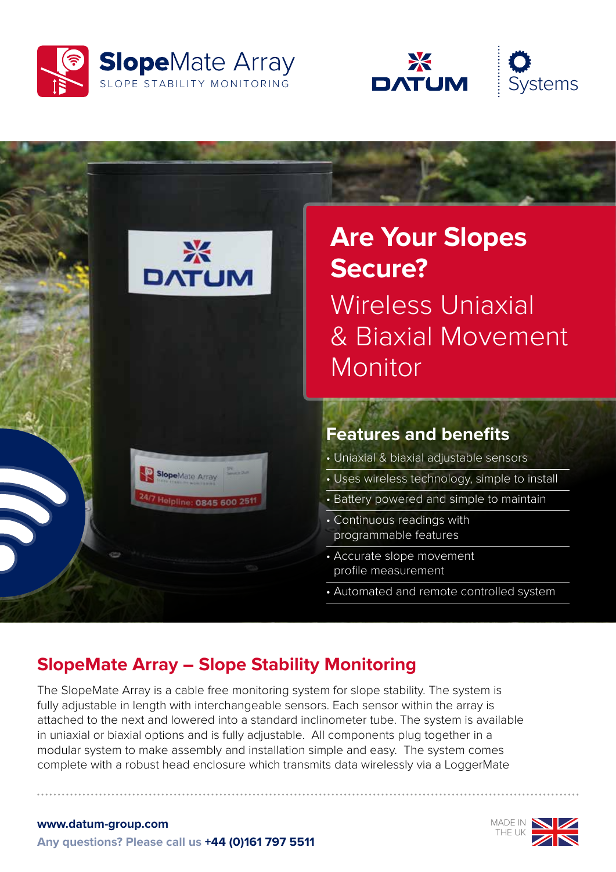





## **SlopeMate Array – Slope Stability Monitoring**

The SlopeMate Array is a cable free monitoring system for slope stability. The system is fully adjustable in length with interchangeable sensors. Each sensor within the array is attached to the next and lowered into a standard inclinometer tube. The system is available in uniaxial or biaxial options and is fully adjustable. All components plug together in a modular system to make assembly and installation simple and easy. The system comes complete with a robust head enclosure which transmits data wirelessly via a LoggerMate



**www.datum-group.com Any questions? Please call us +44 (0)161 797 5511**